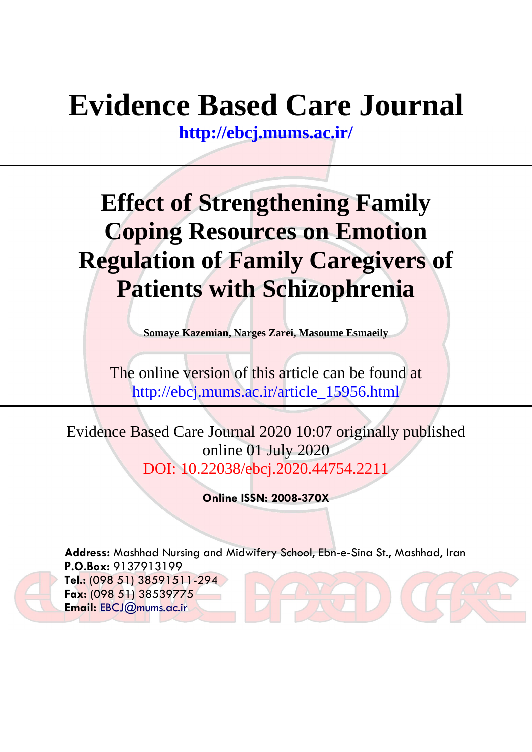# **Evidence Based Care Journal**

**<http://ebcj.mums.ac.ir/>**

## **Effect of Strengthening Family Coping Resources on Emotion Regulation of Family Caregivers of Patients with Schizophrenia**

**Somaye Kazemian, Narges Zarei, Masoume Esmaeily**

The online version of this article can be found at http://ebcj.mums.ac.ir/article\_15956.html

Evidence Based Care Journal 2020 10:07 originally published online 01 July 2020 DOI: 10.22038/ebcj.2020.44754.221

**Online ISSN: 2008-370X**

**Address:** Mashhad Nursing and Midwifery School, Ebn-e-Sina St., Mashhad, Iran **P.O.Box:** 9137913199 **Tel.:** (098 51) 38591511-294 **Fax:** (098 51) 38539775 **Email:** [EBCJ@mums.ac.ir](mailto:EBCJ@mums.ac.ir)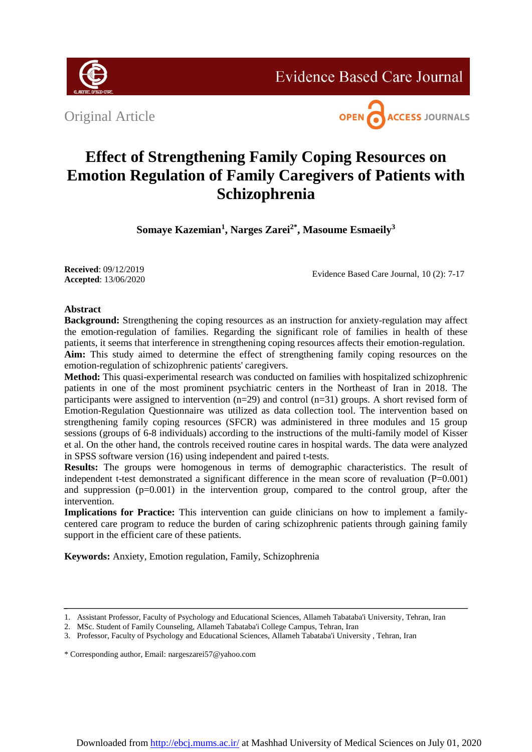

**Evidence Based Care Journal** 

Original Article



### **Effect of Strengthening Family Coping Resources on Emotion Regulation of Family Caregivers of Patients with Schizophrenia**

**Somaye Kazemian<sup>1</sup> , Narges Zarei2\*, Masoume Esmaeily<sup>3</sup>**

**Received**: 09/12/2019 **Accepted**: 13/06/2020

Evidence Based Care Journal, 10 (2): 7-17

### **Abstract**

**Background:** Strengthening the coping resources as an instruction for anxiety-regulation may affect the emotion-regulation of families. Regarding the significant role of families in health of these patients, it seems that interference in strengthening coping resources affects their emotion-regulation. **Aim:** This study aimed to determine the effect of strengthening family coping resources on the emotion-regulation of schizophrenic patients' caregivers.

**Method:** This quasi-experimental research was conducted on families with hospitalized schizophrenic patients in one of the most prominent psychiatric centers in the Northeast of Iran in 2018. The participants were assigned to intervention (n=29) and control (n=31) groups. A short revised form of Emotion-Regulation Questionnaire was utilized as data collection tool. The intervention based on strengthening family coping resources (SFCR) was administered in three modules and 15 group sessions (groups of 6-8 individuals) according to the instructions of the multi-family model of Kisser et al. On the other hand, the controls received routine cares in hospital wards. The data were analyzed in SPSS software version (16) using independent and paired t-tests.

**Results:** The groups were homogenous in terms of demographic characteristics. The result of independent t-test demonstrated a significant difference in the mean score of revaluation  $(P=0.001)$ and suppression (p=0.001) in the intervention group, compared to the control group, after the intervention.

**Implications for Practice:** This intervention can guide clinicians on how to implement a familycentered care program to reduce the burden of caring schizophrenic patients through gaining family support in the efficient care of these patients.

**Keywords:** Anxiety, Emotion regulation, Family, Schizophrenia

\* Corresponding author, Email: nargeszarei57@yahoo.com

<sup>1.</sup> Assistant Professor, Faculty of Psychology and Educational Sciences, Allameh Tabataba'i University, Tehran, Iran

<sup>2.</sup> MSc. Student of Family Counseling, Allameh Tabataba'i College Campus, Tehran, Iran

<sup>3.</sup> Professor, Faculty of Psychology and Educational Sciences, Allameh Tabataba'i University , Tehran, Iran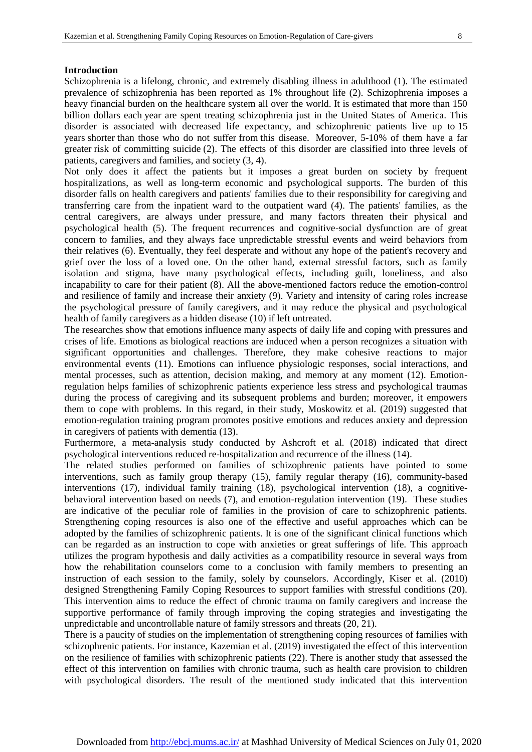#### **Introduction**

Schizophrenia is a lifelong, chronic, and extremely disabling illness in adulthood (1). The estimated prevalence of schizophrenia has been reported as 1% throughout life (2). Schizophrenia imposes a heavy financial burden on the healthcare system all over the world. It is estimated that more than 150 billion dollars each year are spent treating schizophrenia just in the United States of America. This disorder is associated with decreased life expectancy, and schizophrenic patients live up to 15 years shorter than those who do not suffer from this disease. Moreover, 5-10% of them have a far greater risk of committing suicide (2). The effects of this disorder are classified into three levels of patients, caregivers and families, and society (3, 4).

Not only does it affect the patients but it imposes a great burden on society by frequent hospitalizations, as well as long-term economic and psychological supports. The burden of this disorder falls on health caregivers and patients' families due to their responsibility for caregiving and transferring care from the inpatient ward to the outpatient ward (4). The patients' families, as the central caregivers, are always under pressure, and many factors threaten their physical and psychological health (5). The frequent recurrences and cognitive-social dysfunction are of great concern to families, and they always face unpredictable stressful events and weird behaviors from their relatives (6). Eventually, they feel desperate and without any hope of the patient's recovery and grief over the loss of a loved one. On the other hand, external stressful factors, such as family isolation and stigma, have many psychological effects, including guilt, loneliness, and also incapability to care for their patient (8). All the above-mentioned factors reduce the emotion-control and resilience of family and increase their anxiety (9). Variety and intensity of caring roles increase the psychological pressure of family caregivers, and it may reduce the physical and psychological health of family caregivers as a hidden disease (10) if left untreated.

The researches show that emotions influence many aspects of daily life and coping with pressures and crises of life. Emotions as biological reactions are induced when a person recognizes a situation with significant opportunities and challenges. Therefore, they make cohesive reactions to major environmental events (11). Emotions can influence physiologic responses, social interactions, and mental processes, such as attention, decision making, and memory at any moment (12). Emotionregulation helps families of schizophrenic patients experience less stress and psychological traumas during the process of caregiving and its subsequent problems and burden; moreover, it empowers them to cope with problems. In this regard, in their study, Moskowitz et al. (2019) suggested that emotion-regulation training program promotes positive emotions and reduces anxiety and depression in caregivers of patients with dementia (13).

Furthermore, a meta-analysis study conducted by Ashcroft et al. (2018) indicated that direct psychological interventions reduced re-hospitalization and recurrence of the illness (14).

The related studies performed on families of schizophrenic patients have pointed to some interventions, such as family group therapy (15), family regular therapy (16), community-based interventions (17), individual family training (18), psychological intervention (18), a cognitivebehavioral intervention based on needs (7), and emotion-regulation intervention (19). These studies are indicative of the peculiar role of families in the provision of care to schizophrenic patients. Strengthening coping resources is also one of the effective and useful approaches which can be adopted by the families of schizophrenic patients. It is one of the significant clinical functions which can be regarded as an instruction to cope with anxieties or great sufferings of life. This approach utilizes the program hypothesis and daily activities as a compatibility resource in several ways from how the rehabilitation counselors come to a conclusion with family members to presenting an instruction of each session to the family, solely by counselors. Accordingly, Kiser et al. (2010) designed Strengthening Family Coping Resources to support families with stressful conditions (20). This intervention aims to reduce the effect of chronic trauma on family caregivers and increase the supportive performance of family through improving the coping strategies and investigating the unpredictable and uncontrollable nature of family stressors and threats (20, 21).

There is a paucity of studies on the implementation of strengthening coping resources of families with schizophrenic patients. For instance, Kazemian et al. (2019) investigated the effect of this intervention on the resilience of families with schizophrenic patients (22). There is another study that assessed the effect of this intervention on families with chronic trauma, such as health care provision to children with psychological disorders. The result of the mentioned study indicated that this intervention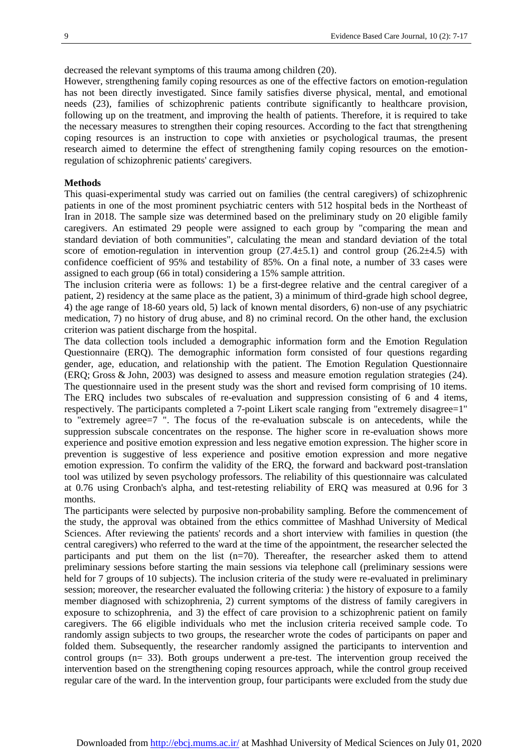decreased the relevant symptoms of this trauma among children (20).

However, strengthening family coping resources as one of the effective factors on emotion-regulation has not been directly investigated. Since family satisfies diverse physical, mental, and emotional needs (23), families of schizophrenic patients contribute significantly to healthcare provision, following up on the treatment, and improving the health of patients. Therefore, it is required to take the necessary measures to strengthen their coping resources. According to the fact that strengthening coping resources is an instruction to cope with anxieties or psychological traumas, the present research aimed to determine the effect of strengthening family coping resources on the emotionregulation of schizophrenic patients' caregivers.

#### **Methods**

This quasi-experimental study was carried out on families (the central caregivers) of schizophrenic patients in one of the most prominent psychiatric centers with 512 hospital beds in the Northeast of Iran in 2018. The sample size was determined based on the preliminary study on 20 eligible family caregivers. An estimated 29 people were assigned to each group by "comparing the mean and standard deviation of both communities", calculating the mean and standard deviation of the total score of emotion-regulation in intervention group  $(27.4\pm 5.1)$  and control group  $(26.2\pm 4.5)$  with confidence coefficient of 95% and testability of 85%. On a final note, a number of 33 cases were assigned to each group (66 in total) considering a 15% sample attrition.

The inclusion criteria were as follows: 1) be a first-degree relative and the central caregiver of a patient, 2) residency at the same place as the patient, 3) a minimum of third-grade high school degree, 4) the age range of 18-60 years old, 5) lack of known mental disorders, 6) non-use of any psychiatric medication, 7) no history of drug abuse, and 8) no criminal record. On the other hand, the exclusion criterion was patient discharge from the hospital.

The data collection tools included a demographic information form and the Emotion Regulation Questionnaire (ERQ). The demographic information form consisted of four questions regarding gender, age, education, and relationship with the patient. The Emotion Regulation Questionnaire (ERQ; Gross & John, 2003) was designed to assess and measure emotion regulation strategies (24). The questionnaire used in the present study was the short and revised form comprising of 10 items. The ERQ includes two subscales of re-evaluation and suppression consisting of 6 and 4 items, respectively. The participants completed a 7-point Likert scale ranging from "extremely disagree=1" to "extremely agree=7 ". The focus of the re-evaluation subscale is on antecedents, while the suppression subscale concentrates on the response. The higher score in re-evaluation shows more experience and positive emotion expression and less negative emotion expression. The higher score in prevention is suggestive of less experience and positive emotion expression and more negative emotion expression. To confirm the validity of the ERQ, the forward and backward post-translation tool was utilized by seven psychology professors. The reliability of this questionnaire was calculated at 0.76 using Cronbach's alpha, and test-retesting reliability of ERQ was measured at 0.96 for 3 months.

The participants were selected by purposive non-probability sampling. Before the commencement of the study, the approval was obtained from the ethics committee of Mashhad University of Medical Sciences. After reviewing the patients' records and a short interview with families in question (the central caregivers) who referred to the ward at the time of the appointment, the researcher selected the participants and put them on the list  $(n=70)$ . Thereafter, the researcher asked them to attend preliminary sessions before starting the main sessions via telephone call (preliminary sessions were held for 7 groups of 10 subjects). The inclusion criteria of the study were re-evaluated in preliminary session; moreover, the researcher evaluated the following criteria: ) the history of exposure to a family member diagnosed with schizophrenia, 2) current symptoms of the distress of family caregivers in exposure to schizophrenia, and 3) the effect of care provision to a schizophrenic patient on family caregivers. The 66 eligible individuals who met the inclusion criteria received sample code. To randomly assign subjects to two groups, the researcher wrote the codes of participants on paper and folded them. Subsequently, the researcher randomly assigned the participants to intervention and control groups (n= 33). Both groups underwent a pre-test. The intervention group received the intervention based on the strengthening coping resources approach, while the control group received regular care of the ward. In the intervention group, four participants were excluded from the study due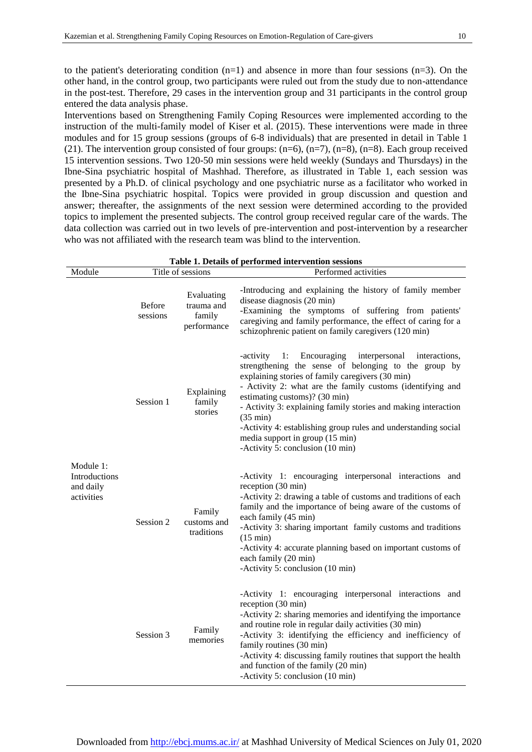to the patient's deteriorating condition  $(n=1)$  and absence in more than four sessions  $(n=3)$ . On the other hand, in the control group, two participants were ruled out from the study due to non-attendance in the post-test. Therefore, 29 cases in the intervention group and 31 participants in the control group entered the data analysis phase.

Interventions based on Strengthening Family Coping Resources were implemented according to the instruction of the multi-family model of Kiser et al. (2015). These interventions were made in three modules and for 15 group sessions (groups of 6-8 individuals) that are presented in detail in Table 1 (21). The intervention group consisted of four groups:  $(n=6)$ ,  $(n=7)$ ,  $(n=8)$ ,  $(n=8)$ . Each group received 15 intervention sessions. Two 120-50 min sessions were held weekly (Sundays and Thursdays) in the Ibne-Sina psychiatric hospital of Mashhad. Therefore, as illustrated in Table 1, each session was presented by a Ph.D. of clinical psychology and one psychiatric nurse as a facilitator who worked in the Ibne-Sina psychiatric hospital. Topics were provided in group discussion and question and answer; thereafter, the assignments of the next session were determined according to the provided topics to implement the presented subjects. The control group received regular care of the wards. The data collection was carried out in two levels of pre-intervention and post-intervention by a researcher who was not affiliated with the research team was blind to the intervention.

| Table 1. Details of performed intervention sessions   |                           |                                                   |                                                                                                                                                                                                                                                                                                                                                                                                                                                                                                              |
|-------------------------------------------------------|---------------------------|---------------------------------------------------|--------------------------------------------------------------------------------------------------------------------------------------------------------------------------------------------------------------------------------------------------------------------------------------------------------------------------------------------------------------------------------------------------------------------------------------------------------------------------------------------------------------|
| Module                                                |                           | Title of sessions                                 | Performed activities                                                                                                                                                                                                                                                                                                                                                                                                                                                                                         |
| Module 1:<br>Introductions<br>and daily<br>activities | <b>Before</b><br>sessions | Evaluating<br>trauma and<br>family<br>performance | -Introducing and explaining the history of family member<br>disease diagnosis (20 min)<br>-Examining the symptoms of suffering from patients'<br>caregiving and family performance, the effect of caring for a<br>schizophrenic patient on family caregivers (120 min)                                                                                                                                                                                                                                       |
|                                                       | Session 1                 | Explaining<br>family<br>stories                   | -activity<br>1:<br>Encouraging<br>interpersonal<br>interactions,<br>strengthening the sense of belonging to the group by<br>explaining stories of family caregivers (30 min)<br>- Activity 2: what are the family customs (identifying and<br>estimating customs)? (30 min)<br>- Activity 3: explaining family stories and making interaction<br>$(35 \text{ min})$<br>-Activity 4: establishing group rules and understanding social<br>media support in group (15 min)<br>-Activity 5: conclusion (10 min) |
|                                                       | Session 2                 | Family<br>customs and<br>traditions               | -Activity 1: encouraging interpersonal interactions and<br>reception (30 min)<br>-Activity 2: drawing a table of customs and traditions of each<br>family and the importance of being aware of the customs of<br>each family (45 min)<br>-Activity 3: sharing important family customs and traditions<br>$(15 \text{ min})$<br>-Activity 4: accurate planning based on important customs of<br>each family (20 min)<br>-Activity 5: conclusion (10 min)                                                      |
|                                                       | Session 3                 | Family<br>memories                                | -Activity 1: encouraging interpersonal interactions and<br>reception (30 min)<br>-Activity 2: sharing memories and identifying the importance<br>and routine role in regular daily activities (30 min)<br>-Activity 3: identifying the efficiency and inefficiency of<br>family routines (30 min)<br>-Activity 4: discussing family routines that support the health<br>and function of the family (20 min)<br>-Activity 5: conclusion (10 min)                                                              |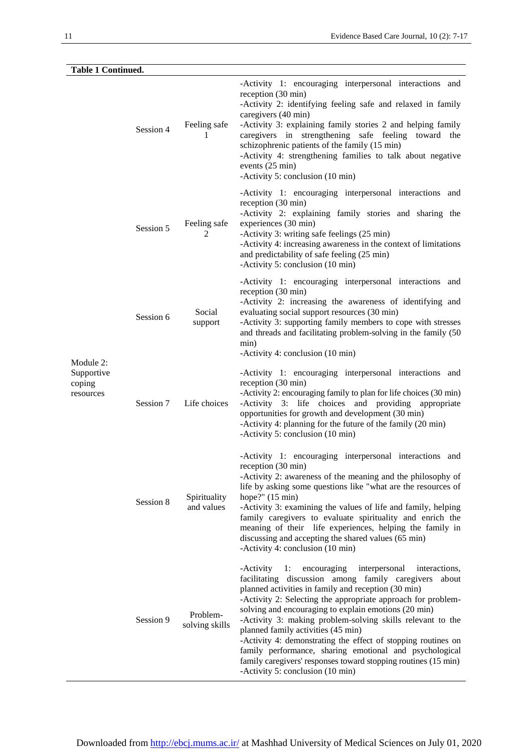| <b>Table 1 Continued.</b>                      |           |                            |                                                                                                                                                                                                                                                                                                                                                                                                                                                                                                                                                                                                                                                |
|------------------------------------------------|-----------|----------------------------|------------------------------------------------------------------------------------------------------------------------------------------------------------------------------------------------------------------------------------------------------------------------------------------------------------------------------------------------------------------------------------------------------------------------------------------------------------------------------------------------------------------------------------------------------------------------------------------------------------------------------------------------|
| Module 2:<br>Supportive<br>coping<br>resources | Session 4 | Feeling safe<br>1          | -Activity 1: encouraging interpersonal interactions and<br>reception (30 min)<br>-Activity 2: identifying feeling safe and relaxed in family<br>caregivers (40 min)<br>-Activity 3: explaining family stories 2 and helping family<br>caregivers in strengthening safe feeling toward the<br>schizophrenic patients of the family (15 min)<br>-Activity 4: strengthening families to talk about negative<br>events (25 min)<br>-Activity 5: conclusion (10 min)                                                                                                                                                                                |
|                                                | Session 5 | Feeling safe<br>2          | -Activity 1: encouraging interpersonal interactions and<br>reception (30 min)<br>-Activity 2: explaining family stories and sharing the<br>experiences (30 min)<br>-Activity 3: writing safe feelings (25 min)<br>-Activity 4: increasing awareness in the context of limitations<br>and predictability of safe feeling (25 min)<br>-Activity 5: conclusion (10 min)                                                                                                                                                                                                                                                                           |
|                                                | Session 6 | Social<br>support          | -Activity 1: encouraging interpersonal interactions and<br>reception (30 min)<br>-Activity 2: increasing the awareness of identifying and<br>evaluating social support resources (30 min)<br>-Activity 3: supporting family members to cope with stresses<br>and threads and facilitating problem-solving in the family (50<br>min)<br>-Activity 4: conclusion (10 min)                                                                                                                                                                                                                                                                        |
|                                                | Session 7 | Life choices               | -Activity 1: encouraging interpersonal interactions and<br>reception (30 min)<br>-Activity 2: encouraging family to plan for life choices (30 min)<br>-Activity 3: life choices and providing appropriate<br>opportunities for growth and development (30 min)<br>-Activity 4: planning for the future of the family (20 min)<br>-Activity 5: conclusion (10 min)                                                                                                                                                                                                                                                                              |
|                                                | Session 8 | Spirituality<br>and values | -Activity 1: encouraging interpersonal interactions and<br>reception (30 min)<br>-Activity 2: awareness of the meaning and the philosophy of<br>life by asking some questions like "what are the resources of<br>hope?" $(15 \text{ min})$<br>-Activity 3: examining the values of life and family, helping<br>family caregivers to evaluate spirituality and enrich the<br>meaning of their life experiences, helping the family in<br>discussing and accepting the shared values (65 min)<br>-Activity 4: conclusion (10 min)                                                                                                                |
|                                                | Session 9 | Problem-<br>solving skills | 1:<br>encouraging<br>interpersonal<br>-Activity<br>interactions,<br>facilitating discussion among family caregivers about<br>planned activities in family and reception (30 min)<br>-Activity 2: Selecting the appropriate approach for problem-<br>solving and encouraging to explain emotions (20 min)<br>-Activity 3: making problem-solving skills relevant to the<br>planned family activities (45 min)<br>-Activity 4: demonstrating the effect of stopping routines on<br>family performance, sharing emotional and psychological<br>family caregivers' responses toward stopping routines (15 min)<br>-Activity 5: conclusion (10 min) |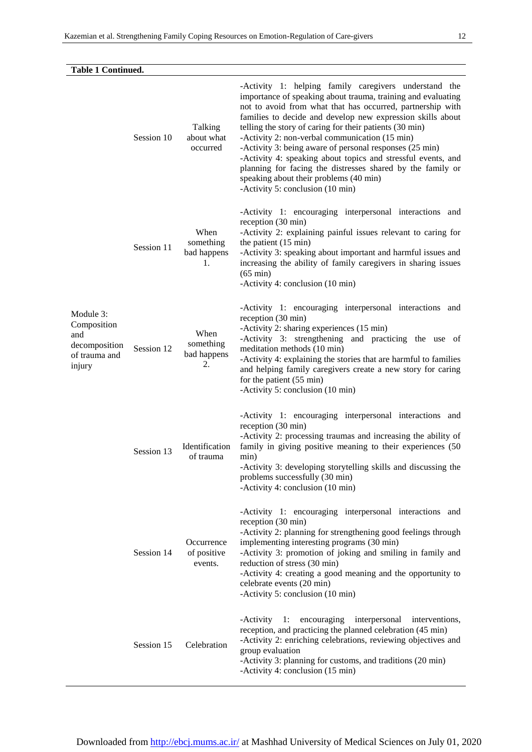| <b>Table 1 Continued.</b>                                                   |            |                                        |                                                                                                                                                                                                                                                                                                                                                                                                                                                                                                                                                                                                                                       |  |
|-----------------------------------------------------------------------------|------------|----------------------------------------|---------------------------------------------------------------------------------------------------------------------------------------------------------------------------------------------------------------------------------------------------------------------------------------------------------------------------------------------------------------------------------------------------------------------------------------------------------------------------------------------------------------------------------------------------------------------------------------------------------------------------------------|--|
| Module 3:<br>Composition<br>and<br>decomposition<br>of trauma and<br>injury | Session 10 | Talking<br>about what<br>occurred      | -Activity 1: helping family caregivers understand the<br>importance of speaking about trauma, training and evaluating<br>not to avoid from what that has occurred, partnership with<br>families to decide and develop new expression skills about<br>telling the story of caring for their patients (30 min)<br>-Activity 2: non-verbal communication (15 min)<br>-Activity 3: being aware of personal responses (25 min)<br>-Activity 4: speaking about topics and stressful events, and<br>planning for facing the distresses shared by the family or<br>speaking about their problems (40 min)<br>-Activity 5: conclusion (10 min) |  |
|                                                                             | Session 11 | When<br>something<br>bad happens<br>1. | -Activity 1: encouraging interpersonal interactions and<br>reception (30 min)<br>-Activity 2: explaining painful issues relevant to caring for<br>the patient $(15 \text{ min})$<br>-Activity 3: speaking about important and harmful issues and<br>increasing the ability of family caregivers in sharing issues<br>$(65 \text{ min})$<br>-Activity 4: conclusion (10 min)                                                                                                                                                                                                                                                           |  |
|                                                                             | Session 12 | When<br>something<br>bad happens<br>2. | -Activity 1: encouraging interpersonal interactions and<br>reception (30 min)<br>-Activity 2: sharing experiences (15 min)<br>-Activity 3: strengthening and practicing the use of<br>meditation methods (10 min)<br>-Activity 4: explaining the stories that are harmful to families<br>and helping family caregivers create a new story for caring<br>for the patient (55 min)<br>-Activity 5: conclusion (10 min)                                                                                                                                                                                                                  |  |
|                                                                             | Session 13 | Identification<br>of trauma            | -Activity 1: encouraging interpersonal interactions and<br>reception (30 min)<br>-Activity 2: processing traumas and increasing the ability of<br>family in giving positive meaning to their experiences (50<br>min)<br>-Activity 3: developing storytelling skills and discussing the<br>problems successfully (30 min)<br>-Activity 4: conclusion (10 min)                                                                                                                                                                                                                                                                          |  |
|                                                                             | Session 14 | Occurrence<br>of positive<br>events.   | -Activity 1: encouraging interpersonal interactions and<br>reception (30 min)<br>-Activity 2: planning for strengthening good feelings through<br>implementing interesting programs (30 min)<br>-Activity 3: promotion of joking and smiling in family and<br>reduction of stress (30 min)<br>-Activity 4: creating a good meaning and the opportunity to<br>celebrate events (20 min)<br>-Activity 5: conclusion (10 min)                                                                                                                                                                                                            |  |
|                                                                             | Session 15 | Celebration                            | encouraging<br>interpersonal<br>-Activity<br>1:<br>interventions,<br>reception, and practicing the planned celebration (45 min)<br>-Activity 2: enriching celebrations, reviewing objectives and<br>group evaluation<br>-Activity 3: planning for customs, and traditions (20 min)<br>-Activity 4: conclusion (15 min)                                                                                                                                                                                                                                                                                                                |  |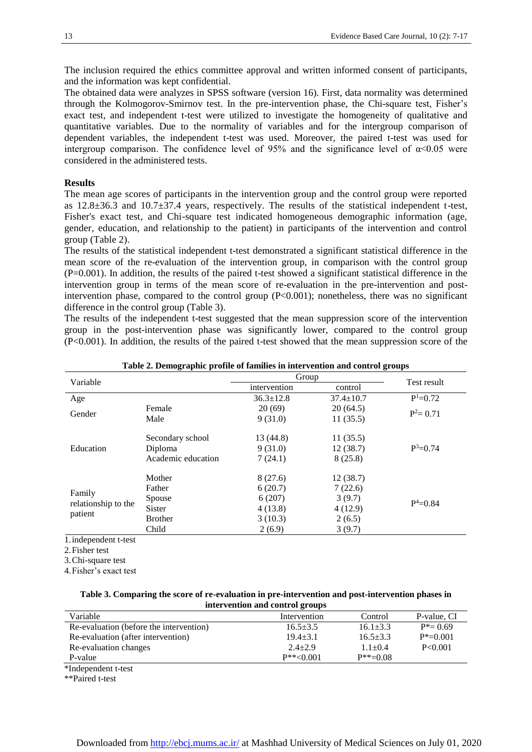The inclusion required the ethics committee approval and written informed consent of participants, and the information was kept confidential.

The obtained data were analyzes in SPSS software (version 16). First, data normality was determined through the Kolmogorov-Smirnov test. In the pre-intervention phase, the Chi-square test, Fisher's exact test, and independent t-test were utilized to investigate the homogeneity of qualitative and quantitative variables. Due to the normality of variables and for the intergroup comparison of dependent variables, the independent t-test was used. Moreover, the paired t-test was used for intergroup comparison. The confidence level of 95% and the significance level of  $\alpha$ <0.05 were considered in the administered tests.

#### **Results**

The mean age scores of participants in the intervention group and the control group were reported as 12.8±36.3 and 10.7±37.4 years, respectively. The results of the statistical independent t-test, Fisher's exact test, and Chi-square test indicated homogeneous demographic information (age, gender, education, and relationship to the patient) in participants of the intervention and control group (Table 2).

The results of the statistical independent t-test demonstrated a significant statistical difference in the mean score of the re-evaluation of the intervention group, in comparison with the control group (P=0.001). In addition, the results of the paired t-test showed a significant statistical difference in the intervention group in terms of the mean score of re-evaluation in the pre-intervention and postintervention phase, compared to the control group (P<0.001); nonetheless, there was no significant difference in the control group (Table 3).

The results of the independent t-test suggested that the mean suppression score of the intervention group in the post-intervention phase was significantly lower, compared to the control group (P<0.001). In addition, the results of the paired t-test showed that the mean suppression score of the

| Variable                                                     |                    | Group           |                 | Test result  |  |
|--------------------------------------------------------------|--------------------|-----------------|-----------------|--------------|--|
|                                                              |                    | intervention    | control         |              |  |
| Age                                                          |                    | $36.3 \pm 12.8$ | $37.4 \pm 10.7$ | $P^1=0.72$   |  |
| Gender                                                       | Female             | 20(69)          | 20(64.5)        | $P^2 = 0.71$ |  |
|                                                              | Male               | 9(31.0)         | 11(35.5)        |              |  |
|                                                              |                    |                 |                 |              |  |
|                                                              | Secondary school   | 13 (44.8)       | 11(35.5)        |              |  |
| Education                                                    | Diploma            | 9(31.0)         | 12(38.7)        | $P^3=0.74$   |  |
|                                                              | Academic education | 7(24.1)         | 8(25.8)         |              |  |
|                                                              | Mother             | 8(27.6)         | 12(38.7)        |              |  |
|                                                              | Father             | 6(20.7)         | 7(22.6)         |              |  |
| Family                                                       | Spouse             | 6(207)          | 3(9.7)          |              |  |
|                                                              | <b>Sister</b>      | 4(13.8)         | 4(12.9)         |              |  |
|                                                              | <b>Brother</b>     | 3(10.3)         | 2(6.5)          |              |  |
|                                                              | Child              | 2(6.9)          | 3(9.7)          |              |  |
| relationship to the<br>patient<br>$\cdots$ $\cdots$ $\cdots$ |                    |                 |                 | $P^4 = 0.84$ |  |

**Table 2. Demographic profile of families in intervention and control groups**

1.independent t-test

2.Fisher test

3.Chi-square test

4.Fisher's exact test

| Table 3. Comparing the score of re-evaluation in pre-intervention and post-intervention phases in |  |  |  |  |
|---------------------------------------------------------------------------------------------------|--|--|--|--|
| intervention and control groups                                                                   |  |  |  |  |

| Variable                                | Intervention     | Control        | P-value, CI   |
|-----------------------------------------|------------------|----------------|---------------|
| Re-evaluation (before the intervention) | $16.5 + 3.5$     | $16.1 \pm 3.3$ | $P^* = 0.69$  |
| Re-evaluation (after intervention)      | $19.4 + 3.1$     | $16.5 + 3.3$   | $P^* = 0.001$ |
| Re-evaluation changes                   | $2.4 + 2.9$      | $1.1 + 0.4$    | P < 0.001     |
| P-value                                 | $P^{**} < 0.001$ | $P^{**}=0.08$  |               |
| $*I$ adopted ant $*$ toot               |                  |                |               |

\*Independent t-test

\*\*Paired t-test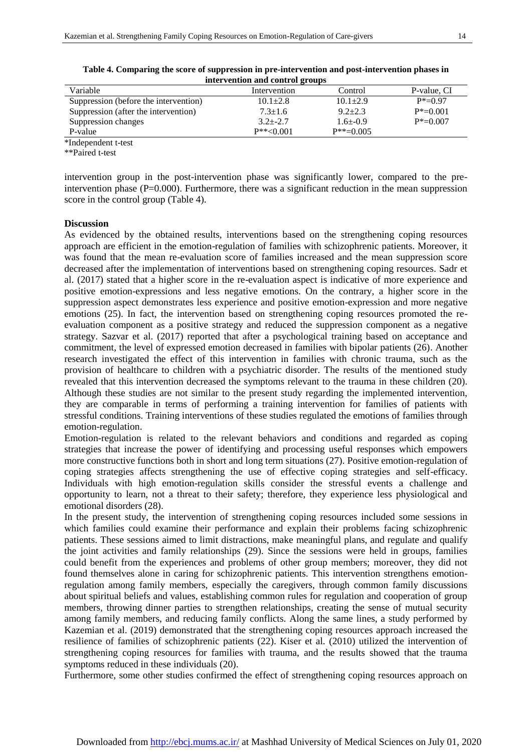|                                       | intervention and control groups |                |               |
|---------------------------------------|---------------------------------|----------------|---------------|
| Variable                              | Intervention                    | Control        | P-value, CI   |
| Suppression (before the intervention) | $10.1 + 2.8$                    | $10.1 \pm 2.9$ | $P^* = 0.97$  |
| Suppression (after the intervention)  | $7.3 \pm 1.6$                   | $9.2 + 2.3$    | $P^* = 0.001$ |
| Suppression changes                   | $3.2 + -2.7$                    | $1.6 + -0.9$   | $P^* = 0.007$ |
| P-value                               | $P^{**} < 0.001$                | $P^{**}=0.005$ |               |
| *Independent t-test                   |                                 |                |               |

| Table 4. Comparing the score of suppression in pre-intervention and post-intervention phases in |  |
|-------------------------------------------------------------------------------------------------|--|
| intervention and control groups.                                                                |  |

\*Independent t-test

\*\*Paired t-test

intervention group in the post-intervention phase was significantly lower, compared to the preintervention phase (P=0.000). Furthermore, there was a significant reduction in the mean suppression score in the control group (Table 4).

#### **Discussion**

As evidenced by the obtained results, interventions based on the strengthening coping resources approach are efficient in the emotion-regulation of families with schizophrenic patients. Moreover, it was found that the mean re-evaluation score of families increased and the mean suppression score decreased after the implementation of interventions based on strengthening coping resources. Sadr et al. (2017) stated that a higher score in the re-evaluation aspect is indicative of more experience and positive emotion-expressions and less negative emotions. On the contrary, a higher score in the suppression aspect demonstrates less experience and positive emotion-expression and more negative emotions (25). In fact, the intervention based on strengthening coping resources promoted the reevaluation component as a positive strategy and reduced the suppression component as a negative strategy. Sazvar et al. (2017) reported that after a psychological training based on acceptance and commitment, the level of expressed emotion decreased in families with bipolar patients (26). Another research investigated the effect of this intervention in families with chronic trauma, such as the provision of healthcare to children with a psychiatric disorder. The results of the mentioned study revealed that this intervention decreased the symptoms relevant to the trauma in these children (20). Although these studies are not similar to the present study regarding the implemented intervention, they are comparable in terms of performing a training intervention for families of patients with stressful conditions. Training interventions of these studies regulated the emotions of families through emotion-regulation.

Emotion-regulation is related to the relevant behaviors and conditions and regarded as coping strategies that increase the power of identifying and processing useful responses which empowers more constructive functions both in short and long term situations (27). Positive emotion-regulation of coping strategies affects strengthening the use of effective coping strategies and self-efficacy. Individuals with high emotion-regulation skills consider the stressful events a challenge and opportunity to learn, not a threat to their safety; therefore, they experience less physiological and emotional disorders (28).

In the present study, the intervention of strengthening coping resources included some sessions in which families could examine their performance and explain their problems facing schizophrenic patients. These sessions aimed to limit distractions, make meaningful plans, and regulate and qualify the joint activities and family relationships (29). Since the sessions were held in groups, families could benefit from the experiences and problems of other group members; moreover, they did not found themselves alone in caring for schizophrenic patients. This intervention strengthens emotionregulation among family members, especially the caregivers, through common family discussions about spiritual beliefs and values, establishing common rules for regulation and cooperation of group members, throwing dinner parties to strengthen relationships, creating the sense of mutual security among family members, and reducing family conflicts. Along the same lines, a study performed by Kazemian et al. (2019) demonstrated that the strengthening coping resources approach increased the resilience of families of schizophrenic patients (22). Kiser et al. (2010) utilized the intervention of strengthening coping resources for families with trauma, and the results showed that the trauma symptoms reduced in these individuals (20).

Furthermore, some other studies confirmed the effect of strengthening coping resources approach on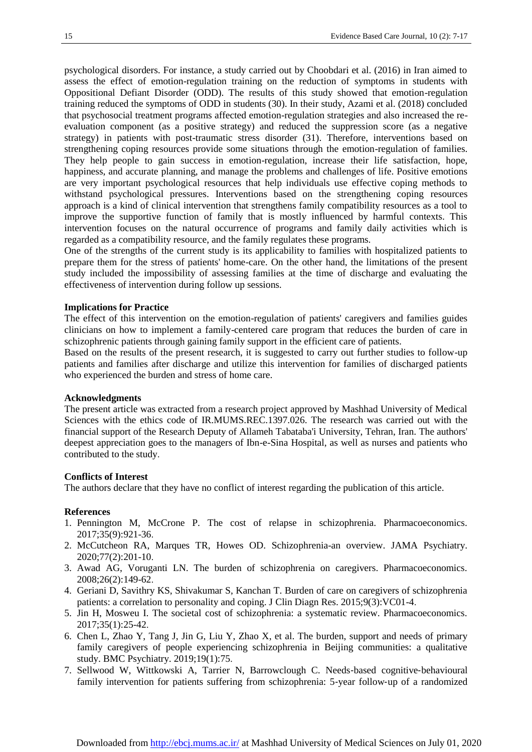psychological disorders. For instance, a study carried out by Choobdari et al. (2016) in Iran aimed to assess the effect of emotion-regulation training on the reduction of symptoms in students with Oppositional Defiant Disorder (ODD). The results of this study showed that emotion-regulation training reduced the symptoms of ODD in students (30). In their study, Azami et al. (2018) concluded that psychosocial treatment programs affected emotion-regulation strategies and also increased the reevaluation component (as a positive strategy) and reduced the suppression score (as a negative strategy) in patients with post-traumatic stress disorder (31). Therefore, interventions based on strengthening coping resources provide some situations through the emotion-regulation of families. They help people to gain success in emotion-regulation, increase their life satisfaction, hope, happiness, and accurate planning, and manage the problems and challenges of life. Positive emotions are very important psychological resources that help individuals use effective coping methods to withstand psychological pressures. Interventions based on the strengthening coping resources approach is a kind of clinical intervention that strengthens family compatibility resources as a tool to improve the supportive function of family that is mostly influenced by harmful contexts. This intervention focuses on the natural occurrence of programs and family daily activities which is regarded as a compatibility resource, and the family regulates these programs.

One of the strengths of the current study is its applicability to families with hospitalized patients to prepare them for the stress of patients' home-care. On the other hand, the limitations of the present study included the impossibility of assessing families at the time of discharge and evaluating the effectiveness of intervention during follow up sessions.

#### **Implications for Practice**

The effect of this intervention on the emotion-regulation of patients' caregivers and families guides clinicians on how to implement a family-centered care program that reduces the burden of care in schizophrenic patients through gaining family support in the efficient care of patients.

Based on the results of the present research, it is suggested to carry out further studies to follow-up patients and families after discharge and utilize this intervention for families of discharged patients who experienced the burden and stress of home care.

#### **Acknowledgments**

The present article was extracted from a research project approved by Mashhad University of Medical Sciences with the ethics code of IR.MUMS.REC.1397.026. The research was carried out with the financial support of the Research Deputy of Allameh Tabataba'i University, Tehran, Iran. The authors' deepest appreciation goes to the managers of Ibn-e-Sina Hospital, as well as nurses and patients who contributed to the study.

#### **Conflicts of Interest**

The authors declare that they have no conflict of interest regarding the publication of this article.

#### **References**

- 1. Pennington M, McCrone P. The cost of relapse in schizophrenia. Pharmacoeconomics. 2017;35(9):921-36.
- 2. McCutcheon RA, Marques TR, Howes OD. Schizophrenia-an overview. JAMA Psychiatry. 2020;77(2):201-10.
- 3. Awad AG, Voruganti LN. The burden of schizophrenia on caregivers. Pharmacoeconomics. 2008;26(2):149-62.
- 4. Geriani D, Savithry KS, Shivakumar S, Kanchan T. Burden of care on caregivers of schizophrenia patients: a correlation to personality and coping. J Clin Diagn Res. 2015;9(3):VC01-4.
- 5. Jin H, Mosweu I. The societal cost of schizophrenia: a systematic review. Pharmacoeconomics. 2017;35(1):25-42.
- 6. Chen L, Zhao Y, Tang J, Jin G, Liu Y, Zhao X, et al. The burden, support and needs of primary family caregivers of people experiencing schizophrenia in Beijing communities: a qualitative study. BMC Psychiatry. 2019;19(1):75.
- 7. Sellwood W, Wittkowski A, Tarrier N, Barrowclough C. Needs‐based cognitive‐behavioural family intervention for patients suffering from schizophrenia: 5‐year follow‐up of a randomized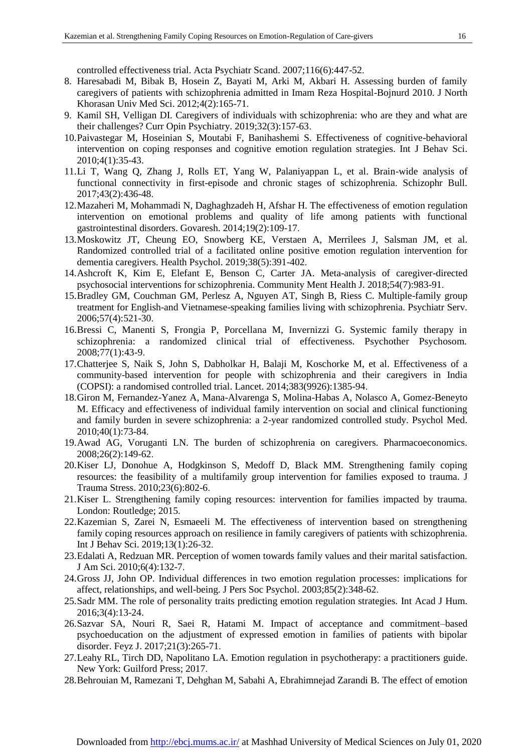controlled effectiveness trial. Acta Psychiatr Scand. 2007;116(6):447-52.

- 8. Haresabadi M, Bibak B, Hosein Z, Bayati M, Arki M, Akbari H. Assessing burden of family caregivers of patients with schizophrenia admitted in Imam Reza Hospital-Bojnurd 2010. J North Khorasan Univ Med Sci. 2012;4(2):165-71.
- 9. Kamil SH, Velligan DI. Caregivers of individuals with schizophrenia: who are they and what are their challenges? Curr Opin Psychiatry. 2019;32(3):157-63.
- 10.Paivastegar M, Hoseinian S, Moutabi F, Banihashemi S. Effectiveness of cognitive-behavioral intervention on coping responses and cognitive emotion regulation strategies. Int J Behav Sci. 2010;4(1):35-43.
- 11.Li T, Wang Q, Zhang J, Rolls ET, Yang W, Palaniyappan L, et al. Brain-wide analysis of functional connectivity in first-episode and chronic stages of schizophrenia. Schizophr Bull. 2017;43(2):436-48.
- 12.Mazaheri M, Mohammadi N, Daghaghzadeh H, Afshar H. The effectiveness of emotion regulation intervention on emotional problems and quality of life among patients with functional gastrointestinal disorders. Govaresh. 2014;19(2):109-17.
- 13.Moskowitz JT, Cheung EO, Snowberg KE, Verstaen A, Merrilees J, Salsman JM, et al. Randomized controlled trial of a facilitated online positive emotion regulation intervention for dementia caregivers. Health Psychol. 2019;38(5):391-402.
- 14.Ashcroft K, Kim E, Elefant E, Benson C, Carter JA. Meta-analysis of caregiver-directed psychosocial interventions for schizophrenia. Community Ment Health J. 2018;54(7):983-91.
- 15.Bradley GM, Couchman GM, Perlesz A, Nguyen AT, Singh B, Riess C. Multiple-family group treatment for English-and Vietnamese-speaking families living with schizophrenia. Psychiatr Serv. 2006;57(4):521-30.
- 16.Bressi C, Manenti S, Frongia P, Porcellana M, Invernizzi G. Systemic family therapy in schizophrenia: a randomized clinical trial of effectiveness. Psychother Psychosom. 2008;77(1):43-9.
- 17.Chatterjee S, Naik S, John S, Dabholkar H, Balaji M, Koschorke M, et al. Effectiveness of a community-based intervention for people with schizophrenia and their caregivers in India (COPSI): a randomised controlled trial. Lancet. 2014;383(9926):1385-94.
- 18.Giron M, Fernandez-Yanez A, Mana-Alvarenga S, Molina-Habas A, Nolasco A, Gomez-Beneyto M. Efficacy and effectiveness of individual family intervention on social and clinical functioning and family burden in severe schizophrenia: a 2-year randomized controlled study. Psychol Med. 2010;40(1):73-84.
- 19.Awad AG, Voruganti LN. The burden of schizophrenia on caregivers. Pharmacoeconomics. 2008;26(2):149-62.
- 20.Kiser LJ, Donohue A, Hodgkinson S, Medoff D, Black MM. Strengthening family coping resources: the feasibility of a multifamily group intervention for families exposed to trauma. J Trauma Stress. 2010;23(6):802-6.
- 21.Kiser L. Strengthening family coping resources: intervention for families impacted by trauma. London: Routledge; 2015.
- 22.Kazemian S, Zarei N, Esmaeeli M. The effectiveness of intervention based on strengthening family coping resources approach on resilience in family caregivers of patients with schizophrenia. Int J Behav Sci. 2019;13(1):26-32.
- 23.Edalati A, Redzuan MR. Perception of women towards family values and their marital satisfaction. J Am Sci. 2010;6(4):132-7.
- 24.Gross JJ, John OP. Individual differences in two emotion regulation processes: implications for affect, relationships, and well-being. J Pers Soc Psychol. 2003;85(2):348-62.
- 25.Sadr MM. The role of personality traits predicting emotion regulation strategies. Int Acad J Hum. 2016;3(4):13-24.
- 26.Sazvar SA, Nouri R, Saei R, Hatami M. Impact of acceptance and commitment–based psychoeducation on the adjustment of expressed emotion in families of patients with bipolar disorder. Feyz J. 2017;21(3):265-71.
- 27.Leahy RL, Tirch DD, Napolitano LA. Emotion regulation in psychotherapy: a practitioners guide. New York: Guilford Press; 2017.
- 28.Behrouian M, Ramezani T, Dehghan M, Sabahi A, Ebrahimnejad Zarandi B. The effect of emotion